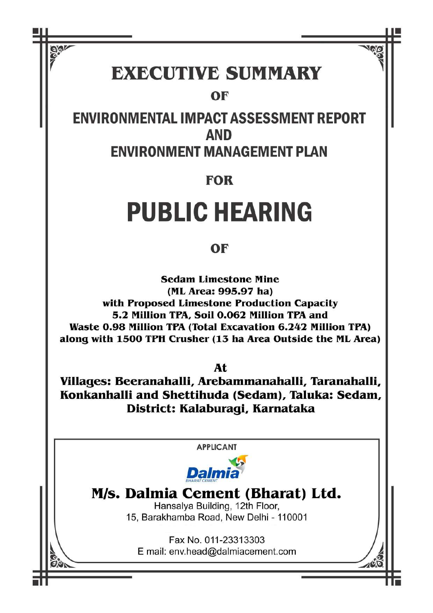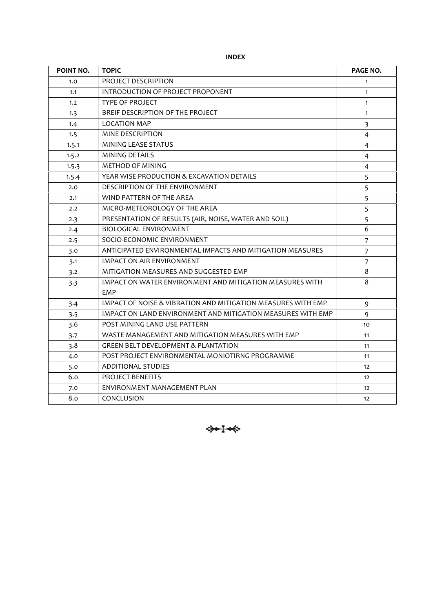**INDEX**

| POINT NO. | <b>TOPIC</b>                                                 | PAGE NO.       |
|-----------|--------------------------------------------------------------|----------------|
| 1.0       | PROJECT DESCRIPTION                                          | $\mathbf{1}$   |
| 1.1       | INTRODUCTION OF PROJECT PROPONENT                            | $\mathbf{1}$   |
| 1.2       | <b>TYPE OF PROJECT</b>                                       | $\mathbf{1}$   |
| 1.3       | BREIF DESCRIPTION OF THE PROJECT                             | $\mathbf{1}$   |
| 1.4       | <b>LOCATION MAP</b>                                          | 3              |
| 1.5       | <b>MINE DESCRIPTION</b>                                      | 4              |
| 1.5.1     | MINING LEASE STATUS                                          | $\overline{4}$ |
| 1.5.2     | MINING DETAILS                                               | 4              |
| 1.5.3     | <b>METHOD OF MINING</b>                                      | $\overline{4}$ |
| 1.5.4     | YEAR WISE PRODUCTION & EXCAVATION DETAILS                    | 5              |
| 2.0       | DESCRIPTION OF THE ENVIRONMENT                               | 5              |
| 2.1       | WIND PATTERN OF THE AREA                                     | 5              |
| 2.2       | MICRO-METEOROLOGY OF THE AREA                                | 5              |
| 2.3       | PRESENTATION OF RESULTS (AIR, NOISE, WATER AND SOIL)         | 5              |
| 2.4       | <b>BIOLOGICAL ENVIRONMENT</b>                                | 6              |
| 2.5       | SOCIO-ECONOMIC ENVIRONMENT                                   | $\overline{7}$ |
| 3.0       | ANTICIPATED ENVIRONMENTAL IMPACTS AND MITIGATION MEASURES    | $\overline{7}$ |
| 3.1       | <b>IMPACT ON AIR ENVIRONMENT</b>                             | $\overline{7}$ |
| 3.2       | MITIGATION MEASURES AND SUGGESTED EMP                        | 8              |
| 3.3       | IMPACT ON WATER ENVIRONMENT AND MITIGATION MEASURES WITH     | 8              |
|           | <b>EMP</b>                                                   |                |
| 3.4       | IMPACT OF NOISE & VIBRATION AND MITIGATION MEASURES WITH EMP | 9              |
| 3.5       | IMPACT ON LAND ENVIRONMENT AND MITIGATION MEASURES WITH EMP  | 9              |
| 3.6       | POST MINING LAND USE PATTERN                                 | 10             |
| 3.7       | WASTE MANAGEMENT AND MITIGATION MEASURES WITH EMP            | 11             |
| 3.8       | <b>GREEN BELT DEVELOPMENT &amp; PLANTATION</b>               | 11             |
| 4.0       | POST PROJECT ENVIRONMENTAL MONIOTIRNG PROGRAMME              | 11             |
| 5.0       | <b>ADDITIONAL STUDIES</b>                                    | 12             |
| 6.0       | PROJECT BENEFITS                                             | 12             |
| 7.0       | ENVIRONMENT MANAGEMENT PLAN                                  | 12             |
| 8.0       | CONCLUSION                                                   | 12             |

\*\*\*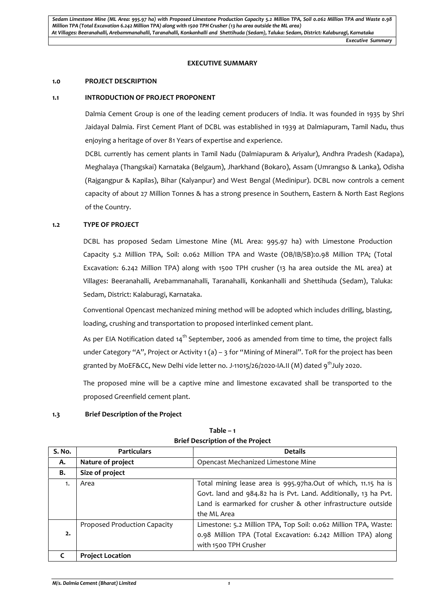#### **EXECUTIVE SUMMARY**

#### **1.0 PROJECT DESCRIPTION**

#### **1.1 INTRODUCTION OF PROJECT PROPONENT**

Dalmia Cement Group is one of the leading cement producers of India. It was founded in 1935 by Shri Jaidayal Dalmia. First Cement Plant of DCBL was established in 1939 at Dalmiapuram, Tamil Nadu, thus enjoying a heritage of over 81 Years of expertise and experience.

DCBL currently has cement plants in Tamil Nadu (Dalmiapuram & Ariyalur), Andhra Pradesh (Kadapa), Meghalaya (Thangskai) Karnataka (Belgaum), Jharkhand (Bokaro), Assam (Umrangso & Lanka), Odisha (Rajgangpur & Kapilas), Bihar (Kalyanpur) and West Bengal (Medinipur). DCBL now controls a cement capacity of about 27 Million Tonnes & has a strong presence in Southern, Eastern & North East Regions of the Country.

#### **1.2 TYPE OF PROJECT**

DCBL has proposed Sedam Limestone Mine (ML Area: 995.97 ha) with Limestone Production Capacity 5.2 Million TPA, Soil: 0.062 Million TPA and Waste (OB/IB/SB):0.98 Million TPA; (Total Excavation: 6.242 Million TPA) along with 1500 TPH crusher (13 ha area outside the ML area) at Villages: Beeranahalli, Arebammanahalli, Taranahalli, Konkanhalli and Shettihuda (Sedam), Taluka: Sedam, District: Kalaburagi, Karnataka.

Conventional Opencast mechanized mining method will be adopted which includes drilling, blasting, loading, crushing and transportation to proposed interlinked cement plant.

As per EIA Notification dated 14<sup>th</sup> September, 2006 as amended from time to time, the project falls under Category "A", Project or Activity 1 (a) – 3 for "Mining of Mineral". ToR for the project has been granted by MoEF&CC, New Delhi vide letter no. J-11015/26/2020-IA.II (M) dated  $9<sup>th</sup>$ July 2020.

The proposed mine will be a captive mine and limestone excavated shall be transported to the proposed Greenfield cement plant.

#### **1.3 Brief Description of the Project**

| S. No. | <b>Particulars</b>                                      | <b>Details</b>                                                  |
|--------|---------------------------------------------------------|-----------------------------------------------------------------|
| А.     | Nature of project<br>Opencast Mechanized Limestone Mine |                                                                 |
| В.     | Size of project                                         |                                                                 |
| 1.     | Area                                                    | Total mining lease area is 995.97ha.Out of which, 11.15 ha is   |
|        |                                                         | Govt. land and 984.82 ha is Pvt. Land. Additionally, 13 ha Pvt. |
|        |                                                         | Land is earmarked for crusher & other infrastructure outside    |
|        |                                                         | the ML Area                                                     |
|        | Proposed Production Capacity                            | Limestone: 5.2 Million TPA, Top Soil: 0.062 Million TPA, Waste: |
| 2.     |                                                         | 0.98 Million TPA (Total Excavation: 6.242 Million TPA) along    |
|        |                                                         | with 1500 TPH Crusher                                           |
|        | <b>Project Location</b>                                 |                                                                 |

**Table – 1 Brief Description of the Project**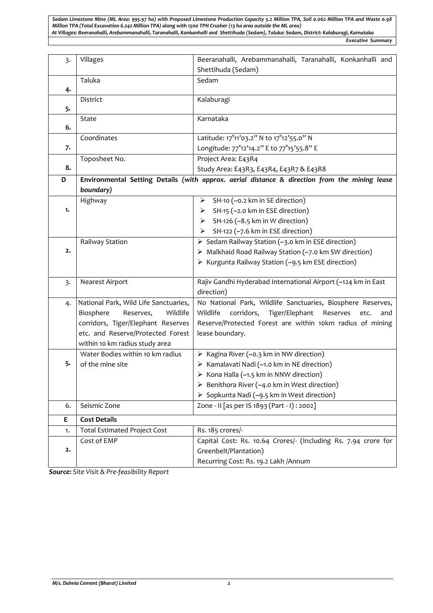*Sedam Limestone Mine (ML Area: 995.97 ha) with Proposed Limestone Production Capacity 5.2 Million TPA, Soil 0.062 Million TPA and Waste 0.98 Million TPA (Total Excavation 6.242 Million TPA) along with 1500 TPH Crusher (13 ha area outside the ML area) At Villages: Beeranahalli, Arebammanahalli, Taranahalli, Konkanhalli and Shettihuda (Sedam), Taluka: Sedam, District: Kalaburagi, Karnataka*

*Executive Summary*

| $\overline{3}$ .        | Villages                              | Beeranahalli, Arebammanahalli, Taranahalli, Konkanhalli and                                   |
|-------------------------|---------------------------------------|-----------------------------------------------------------------------------------------------|
|                         |                                       | Shettihuda (Sedam)                                                                            |
|                         | Taluka                                | Sedam                                                                                         |
| 4.                      |                                       |                                                                                               |
|                         | District                              | Kalaburagi                                                                                    |
| 5.                      |                                       |                                                                                               |
|                         | State                                 | Karnataka                                                                                     |
| 6.                      |                                       |                                                                                               |
|                         | Coordinates                           | Latitude: 17°11'03.2" N to 17°12'55.0" N                                                      |
| 7.                      |                                       | Longitude: 77°12'14.2" E to 77°15'55.8" E                                                     |
|                         | Toposheet No.                         | Project Area: E43R4                                                                           |
| 8.                      |                                       | Study Area: E43R3, E43R4, E43R7 & E43R8                                                       |
| D                       |                                       | Environmental Setting Details (with approx. aerial distance & direction from the mining lease |
|                         | boundary)                             |                                                                                               |
|                         | Highway                               | SH-10 (~0.2 km in SE direction)<br>➤                                                          |
| 1.                      |                                       | SH-15 (~2.0 km in ESE direction)<br>➤                                                         |
|                         |                                       | SH-126 (~8.5 km in W direction)<br>➤                                                          |
|                         |                                       | SH-122 (~7.6 km in ESE direction)<br>➤                                                        |
|                         | Railway Station                       | > Sedam Railway Station (~3.0 km in ESE direction)                                            |
| 2.                      |                                       | > Malkhaid Road Railway Station (~7.0 km SW direction)                                        |
|                         |                                       | > Kurgunta Railway Station (~9.5 km ESE direction)                                            |
| $\overline{\mathbf{3}}$ | Nearest Airport                       | Rajiv Gandhi Hyderabad International Airport (~124 km in East                                 |
|                         |                                       | direction)                                                                                    |
| 4.                      | National Park, Wild Life Sanctuaries, | No National Park, Wildlife Sanctuaries, Biosphere Reserves,                                   |
|                         | Biosphere<br>Wildlife<br>Reserves,    | Wildlife<br>corridors, Tiger/Elephant<br>Reserves<br>etc.<br>and                              |
|                         | corridors, Tiger/Elephant Reserves    | Reserve/Protected Forest are within 10km radius of mining                                     |
|                         | etc. and Reserve/Protected Forest     | lease boundary.                                                                               |
|                         | within 10 km radius study area        |                                                                                               |
|                         | Water Bodies within 10 km radius      | > Kagina River (~0.3 km in NW direction)                                                      |
| 5.                      | of the mine site                      | > Kamalavati Nadi (~1.0 km in NE direction)                                                   |
|                         |                                       | > Kona Halla (~1.5 km in NNW direction)                                                       |
|                         |                                       | $\triangleright$ Benithora River (~4.0 km in West direction)                                  |
|                         |                                       | > Sopkunta Nadi (~9.5 km in West direction)                                                   |
| 6.                      | Seismic Zone                          | Zone - II [as per IS 1893 (Part - I) : 2002]                                                  |
| E                       | <b>Cost Details</b>                   |                                                                                               |
| 1.                      | <b>Total Estimated Project Cost</b>   | Rs. 185 crores/-                                                                              |
|                         | Cost of EMP                           | Capital Cost: Rs. 10.64 Crores/- (Including Rs. 7.94 crore for                                |
| 2.                      |                                       | Greenbelt/Plantation)                                                                         |
|                         |                                       | Recurring Cost: Rs. 19.2 Lakh / Annum                                                         |

*Source: Site Visit & Pre-feasibility Report*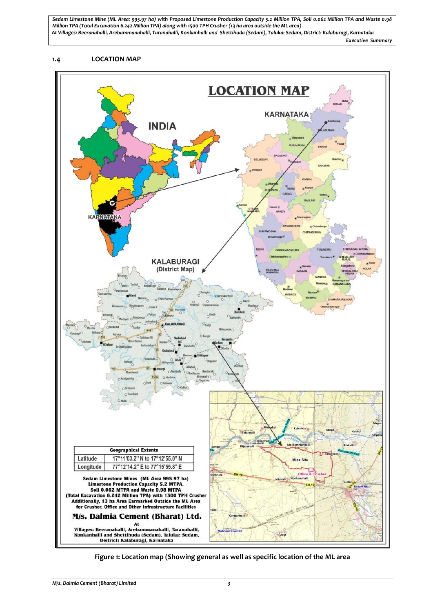*Sedam Limestone Mine (ML Area: 995.97 ha) with Proposed Limestone Production Capacity 5.2 Million TPA, Soil 0.062 Million TPA and Waste 0.98 Million TPA (Total Excavation 6.242 Million TPA) along with 1500 TPH Crusher (13 ha area outside the ML area) At Villages: Beeranahalli, Arebammanahalli, Taranahalli, Konkanhalli and Shettihuda (Sedam), Taluka: Sedam, District: Kalaburagi, Karnataka*

*Executive Summary*

#### **1.4 LOCATION MAP**



**Figure 1: Location map (Showing general as well as specific location of the ML area**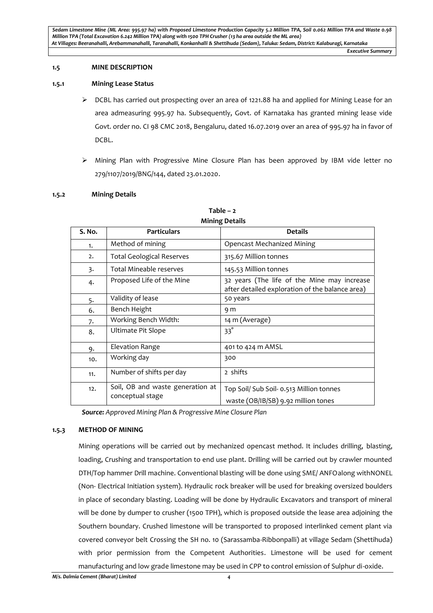## **1.5 MINE DESCRIPTION**

## **1.5.1 Mining Lease Status**

- $\triangleright$  DCBL has carried out prospecting over an area of 1221.88 ha and applied for Mining Lease for an area admeasuring 995.97 ha. Subsequently, Govt. of Karnataka has granted mining lease vide Govt. order no. CI 98 CMC 2018, Bengaluru, dated 16.07.2019 over an area of 995.97 ha in favor of DCBL.
- $\triangleright$  Mining Plan with Progressive Mine Closure Plan has been approved by IBM vide letter no 279/1107/2019/BNG/144, dated 23.01.2020.

## **1.5.2 Mining Details**

|        | www.ccan                                             |                                                                                                |  |  |  |
|--------|------------------------------------------------------|------------------------------------------------------------------------------------------------|--|--|--|
| S. No. | <b>Particulars</b>                                   | <b>Details</b>                                                                                 |  |  |  |
| 1.     | Method of mining                                     | <b>Opencast Mechanized Mining</b>                                                              |  |  |  |
| 2.     | <b>Total Geological Reserves</b>                     | 315.67 Million tonnes                                                                          |  |  |  |
| 3.     | Total Mineable reserves                              | 145.53 Million tonnes                                                                          |  |  |  |
| 4.     | Proposed Life of the Mine                            | 32 years (The life of the Mine may increase<br>after detailed exploration of the balance area) |  |  |  |
| 5.     | Validity of lease                                    | 50 years                                                                                       |  |  |  |
| 6.     | Bench Height                                         | 9 m                                                                                            |  |  |  |
| 7.     | Working Bench Width:                                 | 14 m (Average)                                                                                 |  |  |  |
| 8.     | Ultimate Pit Slope                                   | $33^\circ$                                                                                     |  |  |  |
| 9.     | Elevation Range                                      | 401 to 424 m AMSL                                                                              |  |  |  |
| 10.    | Working day                                          | 300                                                                                            |  |  |  |
| 11.    | Number of shifts per day                             | 2 shifts                                                                                       |  |  |  |
| 12.    | Soil, OB and waste generation at<br>conceptual stage | Top Soil/ Sub Soil- 0.513 Million tonnes<br>waste (OB/IB/SB) 9.92 million tones                |  |  |  |

#### **Table – 2 Mining Details**

*Source: Approved Mining Plan & Progressive Mine Closure Plan*

# **1.5.3 METHOD OF MINING**

Mining operations will be carried out by mechanized opencast method. It includes drilling, blasting, loading, Crushing and transportation to end use plant. Drilling will be carried out by crawler mounted DTH/Top hammer Drill machine. Conventional blasting will be done using SME/ ANFOalong withNONEL (Non- Electrical Initiation system). Hydraulic rock breaker will be used for breaking oversized boulders in place of secondary blasting. Loading will be done by Hydraulic Excavators and transport of mineral will be done by dumper to crusher (1500 TPH), which is proposed outside the lease area adjoining the Southern boundary. Crushed limestone will be transported to proposed interlinked cement plant via covered conveyor belt Crossing the SH no. 10 (Sarassamba-Ribbonpalli) at village Sedam (Shettihuda) with prior permission from the Competent Authorities. Limestone will be used for cement manufacturing and low grade limestone may be used in CPP to control emission of Sulphur di-oxide.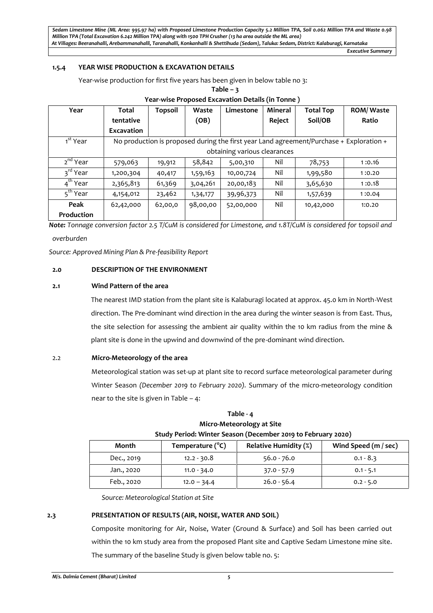*Sedam Limestone Mine (ML Area: 995.97 ha) with Proposed Limestone Production Capacity 5.2 Million TPA, Soil 0.062 Million TPA and Waste 0.98 Million TPA (Total Excavation 6.242 Million TPA) along with 1500 TPH Crusher (13 ha area outside the ML area) At Villages: Beeranahalli, Arebammanahalli, Taranahalli, Konkanhalli & Shettihuda (Sedam), Taluka: Sedam, District: Kalaburagi, Karnataka*

*Executive Summary*

# **1.5.4 YEAR WISE PRODUCTION & EXCAVATION DETAILS**

Year-wise production for first five years has been given in below table no 3:

| <u>rear-wise Proposed Excavation Details (in Tonne )</u> |                              |                |          |           |                |                                                                                         |                  |
|----------------------------------------------------------|------------------------------|----------------|----------|-----------|----------------|-----------------------------------------------------------------------------------------|------------------|
| Year                                                     | Total                        | <b>Topsoil</b> | Waste    | Limestone | <b>Mineral</b> | <b>Total Top</b>                                                                        | <b>ROM/Waste</b> |
|                                                          | tentative                    |                | (OB)     |           | Reject         | Soil/OB                                                                                 | Ratio            |
|                                                          | <b>Excavation</b>            |                |          |           |                |                                                                                         |                  |
| 1 <sup>st</sup> Year                                     |                              |                |          |           |                | No production is proposed during the first year Land agreement/Purchase + Exploration + |                  |
|                                                          | obtaining various clearances |                |          |           |                |                                                                                         |                  |
| 2 <sup>nd</sup> Year                                     | 579,063                      | 19,912         | 58,842   | 5,00,310  | Nil            | 78,753                                                                                  | 1:0.16           |
| 3 <sup>rd</sup> Year                                     | 1,200,304                    | 40,417         | 1,59,163 | 10,00,724 | Nil            | 1,99,580                                                                                | 1:0.20           |
| 4 <sup>th</sup> Year                                     | 2,365,813                    | 61,369         | 3,04,261 | 20,00,183 | Nil            | 3,65,630                                                                                | 1:0.18           |
| 5 <sup>th</sup> Year                                     | 4,154,012                    | 23,462         | 1,34,177 | 39,96,373 | Nil            | 1,57,639                                                                                | 1:0.04           |
| Peak                                                     | 62,42,000                    | 62,00,0        | 98,00,00 | 52,00,000 | Nil            | 10,42,000                                                                               | 1:0.20           |
| Production                                               |                              |                |          |           |                |                                                                                         |                  |

## **Table – 3 Year-wise Proposed Excavation Details (in Tonne )**

*Note: Tonnage conversion factor 2.5 T/CuM is considered for Limestone, and 1.8T/CuM is considered for topsoil and overburden*

*Source: Approved Mining Plan & Pre-feasibility Report*

## **2.0 DESCRIPTION OF THE ENVIRONMENT**

#### **2.1 Wind Pattern of the area**

The nearest IMD station from the plant site is Kalaburagi located at approx. 45.0 km in North-West direction. The Pre-dominant wind direction in the area during the winter season is from East. Thus, the site selection for assessing the ambient air quality within the 10 km radius from the mine & plant site is done in the upwind and downwind of the pre-dominant wind direction.

#### 2.2 **Micro-Meteorology of the area**

Meteorological station was set-up at plant site to record surface meteorological parameter during Winter Season *(December 2019 to February 2020).* Summary of the micro-meteorology condition near to the site is given in Table – 4:

# **Table - 4 Micro-Meteorology at Site Study Period: Winter Season (December 2019 to February 2020)**

| Month      | Temperature (°C) | <b>Relative Humidity (%)</b> | Wind Speed (m / sec) |
|------------|------------------|------------------------------|----------------------|
| Dec., 2019 | $12.2 - 30.8$    | $56.0 - 76.0$                | $0.1 - 8.3$          |
| Jan., 2020 | $11.0 - 34.0$    | $37.0 - 57.9$                | $0.1 - 5.1$          |
| Feb., 2020 | $12.0 - 34.4$    | $26.0 - 56.4$                | $0.2 - 5.0$          |

*Source: Meteorological Station at Site*

**2.3 PRESENTATION OF RESULTS (AIR, NOISE, WATER AND SOIL)**

Composite monitoring for Air, Noise, Water (Ground & Surface) and Soil has been carried out within the 10 km study area from the proposed Plant site and Captive Sedam Limestone mine site. The summary of the baseline Study is given below table no. 5: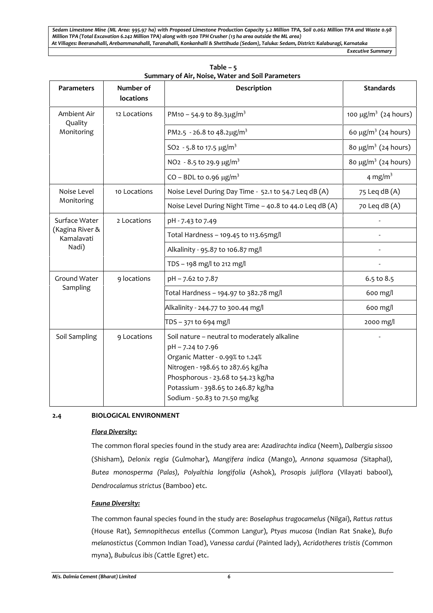*Sedam Limestone Mine (ML Area: 995.97 ha) with Proposed Limestone Production Capacity 5.2 Million TPA, Soil 0.062 Million TPA and Waste 0.98 Million TPA (Total Excavation 6.242 Million TPA) along with 1500 TPH Crusher (13 ha area outside the ML area) At Villages: Beeranahalli, Arebammanahalli, Taranahalli, Konkanhalli & Shettihuda (Sedam), Taluka: Sedam, District: Kalaburagi, Karnataka Executive Summary*

**Parameters Number of locations Description Standards** Ambient Air Quality Monitoring 12 Locations PM10 – 54.9 to 89.3 $\mu$ g/m<sup>3</sup> 100  $\mu$ g/m<sup>3</sup> 100  $\mu$ g/m<sup>3</sup> (24 hours) PM2.5 - 26.8 to 48.2µg/m<sup>3</sup> example the set of the set of the set of the set of the set of the set of the set of the set of the set of the set of the set of the set of the set of the set of the set of the set of the set o SO2 - 5.8 to 17.5  $\mu$ g/m<sup>3</sup> 80  $\mu$ g/m<sup>3</sup> (24 hours) NO<sub>2</sub> - 8.5 to 29.9  $\mu$ g/m<sup>3</sup> 80  $\mu$ g/m<sup>3</sup> (24 hours)  $CO - BDL$  to 0.96  $\mu$ g/m<sup>3</sup> 4 mg/m<sup>3</sup> Noise Level Monitoring 10 Locations  $\big|$  Noise Level During Day Time - 52.1 to 54.7 Leq dB (A)  $\big|$  75 Leq dB (A) Noise Level During Night Time – 40.8 to 44.0 Leq dB  $(A)$  | 70 Leq dB  $(A)$ Surface Water 2 Locations (Kagina River & Kamalavati Nadi) pH - 7.43 to 7.49 Total Hardness – 109.45 to 113.65mg/l - Alkalinity - 95.87 to 106.87 mg/l -  $TDS - 198$  mg/l to 212 mg/l  $\sim$ Ground Water | 9 locations **Sampling** pH – 7.62 to 7.87 6.5 to 8.5 Total Hardness – 194.97 to 382.78 mg/l 600 mg/l Alkalinity - 244.77 to 300.44 mg/l 600 mg/l 600 mg/l TDS – 371 to 694 mg/l 2000 mg/l Soil Sampling  $\vert$  9 Locations Soil nature – neutral to moderately alkaline pH – 7.24 to 7.96 Organic Matter - 0.99% to 1.24% Nitrogen - 198.65 to 287.65 kg/ha Phosphorous - 23.68 to 54.23 kg/ha Potassium - 398.65 to 246.87 kg/ha Sodium - 50.83 to 71.50 mg/kg -

**Table – 5 Summary of Air, Noise, Water and Soil Parameters**

# **2.4 BIOLOGICAL ENVIRONMENT**

# *Flora Diversity:*

The common floral species found in the study area are: *Azadirachta indica* (Neem), *Dalbergia sissoo* (Shisham), *Delonix regia* (Gulmohar), *Mangifera indica* (Mango), *Annona squamosa (*Sitaphal*), Butea monosperma (Palas), Polyalthia longifolia* (Ashok), *Prosopis juliflora* (Vilayati babool), *Dendrocalamus strictus* (Bamboo) etc.

# *Fauna Diversity:*

The common faunal species found in the study are: *Boselaphus tragocamelus* (Nilgai), *Rattus rattus* (House Rat), *Semnopithecus entellus* (Common Langur), *Ptyas mucosa* (Indian Rat Snake), *Bufo melanostictus* (Common Indian Toad), *Vanessa cardui (*Painted lady), *Acridotheres tristis (*Common myna), *Bubulcus ibis (*Cattle Egret) etc.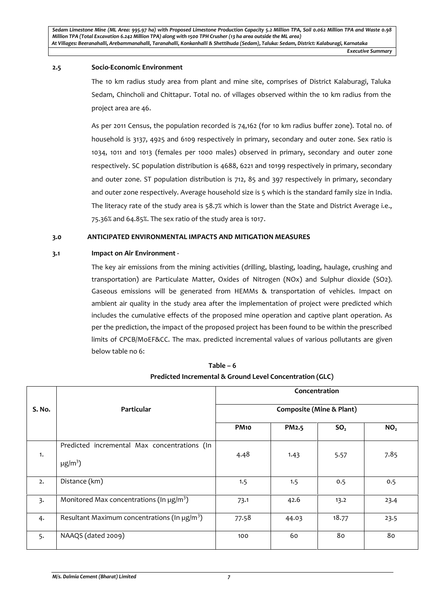#### **2.5 Socio-Economic Environment**

The 10 km radius study area from plant and mine site, comprises of District Kalaburagi, Taluka Sedam, Chincholi and Chittapur. Total no. of villages observed within the 10 km radius from the project area are 46.

As per 2011 Census, the population recorded is 74,162 (for 10 km radius buffer zone). Total no. of household is 3137, 4925 and 6109 respectively in primary, secondary and outer zone. Sex ratio is 1034, 1011 and 1013 (females per 1000 males) observed in primary, secondary and outer zone respectively. SC population distribution is 4688, 6221 and 10199 respectively in primary, secondary and outer zone. ST population distribution is 712, 85 and 397 respectively in primary, secondary and outer zone respectively. Average household size is 5 which is the standard family size in India. The literacy rate of the study area is 58.7% which is lower than the State and District Average i.e., 75.36% and 64.85%. The sex ratio of the study area is 1017.

# **3.0 ANTICIPATED ENVIRONMENTAL IMPACTS AND MITIGATION MEASURES**

# **3.1 Impact on Air Environment -**

The key air emissions from the mining activities (drilling, blasting, loading, haulage, crushing and transportation) are Particulate Matter, Oxides of Nitrogen (NOx) and Sulphur dioxide (SO2). Gaseous emissions will be generated from HEMMs & transportation of vehicles. Impact on ambient air quality in the study area after the implementation of project were predicted which includes the cumulative effects of the proposed mine operation and captive plant operation. As per the prediction, the impact of the proposed project has been found to be within the prescribed limits of CPCB/MoEF&CC. The max. predicted incremental values of various pollutants are given below table no 6:

|        |                                                                          | Concentration                       |                    |                 |                 |  |
|--------|--------------------------------------------------------------------------|-------------------------------------|--------------------|-----------------|-----------------|--|
| S. No. | Particular                                                               | <b>Composite (Mine &amp; Plant)</b> |                    |                 |                 |  |
|        |                                                                          | <b>PM10</b>                         | PM <sub>2</sub> .5 | SO <sub>2</sub> | NO <sub>2</sub> |  |
| 1.     | Predicted incremental Max concentrations (In<br>$\mu$ g/m <sup>3</sup> ) | 4.48                                | 1.43               | 5.57            | 7.85            |  |
| 2.     | Distance (km)                                                            | 1.5                                 | 1.5                | 0.5             | 0.5             |  |
| 3.     | Monitored Max concentrations (In $\mu$ g/m <sup>3</sup> )                | 73.1                                | 42.6               | 13.2            | 23.4            |  |
| 4.     | Resultant Maximum concentrations (In $\mu$ g/m <sup>3</sup> )            | 77.58                               | 44.03              | 18.77           | 23.5            |  |
| 5.     | NAAQS (dated 2009)                                                       | 100                                 | 60                 | 80              | 80              |  |

| Table – 6                                                |  |
|----------------------------------------------------------|--|
| Predicted Incremental & Ground Level Concentration (GLC) |  |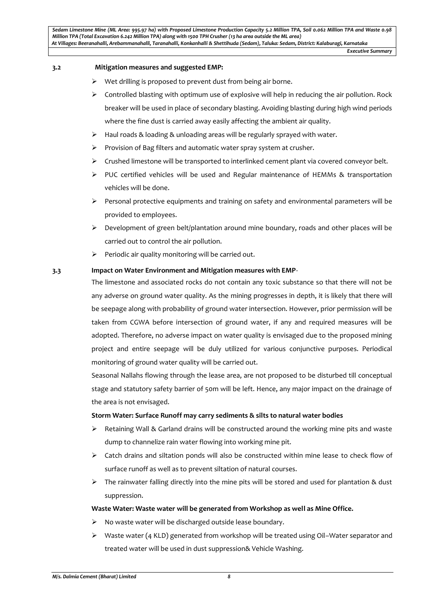## **3.2 Mitigation measures and suggested EMP:**

- $\triangleright$  Wet drilling is proposed to prevent dust from being air borne.
- $\triangleright$  Controlled blasting with optimum use of explosive will help in reducing the air pollution. Rock breaker will be used in place of secondary blasting. Avoiding blasting during high wind periods where the fine dust is carried away easily affecting the ambient air quality.
- $\triangleright$  Haul roads & loading & unloading areas will be regularly sprayed with water.
- $\triangleright$  Provision of Bag filters and automatic water spray system at crusher.
- $\triangleright$  Crushed limestone will be transported to interlinked cement plant via covered conveyor belt.
- $\triangleright$  PUC certified vehicles will be used and Regular maintenance of HEMMs & transportation vehicles will be done.
- $\triangleright$  Personal protective equipments and training on safety and environmental parameters will be provided to employees.
- $\triangleright$  Development of green belt/plantation around mine boundary, roads and other places will be carried out to control the air pollution.
- $\triangleright$  Periodic air quality monitoring will be carried out.

#### **3.3 Impact on Water Environment and Mitigation measures with EMP**-

The limestone and associated rocks do not contain any toxic substance so that there will not be any adverse on ground water quality. As the mining progresses in depth, it is likely that there will be seepage along with probability of ground water intersection. However, prior permission will be taken from CGWA before intersection of ground water, if any and required measures will be adopted. Therefore, no adverse impact on water quality is envisaged due to the proposed mining project and entire seepage will be duly utilized for various conjunctive purposes. Periodical monitoring of ground water quality will be carried out.

Seasonal Nallahs flowing through the lease area, are not proposed to be disturbed till conceptual stage and statutory safety barrier of 50m will be left. Hence, any major impact on the drainage of the area is not envisaged.

#### **Storm Water: Surface Runoff may carry sediments & silts to natural water bodies**

- $\triangleright$  Retaining Wall & Garland drains will be constructed around the working mine pits and waste dump to channelize rain water flowing into working mine pit.
- $\triangleright$  Catch drains and siltation ponds will also be constructed within mine lease to check flow of surface runoff as well as to prevent siltation of natural courses.
- $\triangleright$  The rainwater falling directly into the mine pits will be stored and used for plantation & dust suppression.

# **Waste Water: Waste water will be generated from Workshop as well as Mine Office.**

- No waste water will be discharged outside lease boundary.
- $\triangleright$  Waste water (4 KLD) generated from workshop will be treated using Oil–Water separator and treated water will be used in dust suppression& Vehicle Washing.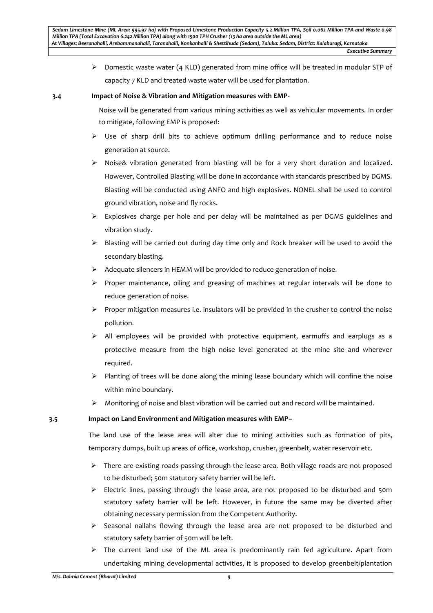$\triangleright$  Domestic waste water (4 KLD) generated from mine office will be treated in modular STP of capacity 7 KLD and treated waste water will be used for plantation.

# **3.4 Impact of Noise & Vibration and Mitigation measures with EMP-**

Noise will be generated from various mining activities as well as vehicular movements. In order to mitigate, following EMP is proposed:

- $\triangleright$  Use of sharp drill bits to achieve optimum drilling performance and to reduce noise generation at source.
- $\triangleright$  Noise& vibration generated from blasting will be for a very short duration and localized. However, Controlled Blasting will be done in accordance with standards prescribed by DGMS. Blasting will be conducted using ANFO and high explosives. NONEL shall be used to control ground vibration, noise and fly rocks.
- $\triangleright$  Explosives charge per hole and per delay will be maintained as per DGMS guidelines and vibration study.
- $\triangleright$  Blasting will be carried out during day time only and Rock breaker will be used to avoid the secondary blasting.
- $\triangleright$  Adequate silencers in HEMM will be provided to reduce generation of noise.
- $\triangleright$  Proper maintenance, oiling and greasing of machines at regular intervals will be done to reduce generation of noise.
- $\triangleright$  Proper mitigation measures i.e. insulators will be provided in the crusher to control the noise pollution.
- $\triangleright$  All employees will be provided with protective equipment, earmuffs and earplugs as a protective measure from the high noise level generated at the mine site and wherever required.
- $\triangleright$  Planting of trees will be done along the mining lease boundary which will confine the noise within mine boundary.
- Monitoring of noise and blast vibration will be carried out and record will be maintained.

# **3.5 Impact on Land Environment and Mitigation measures with EMP–**

The land use of the lease area will alter due to mining activities such as formation of pits, temporary dumps, built up areas of office, workshop, crusher, greenbelt, water reservoir etc.

- $\triangleright$  There are existing roads passing through the lease area. Both village roads are not proposed to be disturbed; 50m statutory safety barrier will be left.
- $\triangleright$  Electric lines, passing through the lease area, are not proposed to be disturbed and 50m statutory safety barrier will be left. However, in future the same may be diverted after obtaining necessary permission from the Competent Authority.
- $\triangleright$  Seasonal nallahs flowing through the lease area are not proposed to be disturbed and statutory safety barrier of 50m will be left.
- $\triangleright$  The current land use of the ML area is predominantly rain fed agriculture. Apart from undertaking mining developmental activities, it is proposed to develop greenbelt/plantation

*Executive Summary*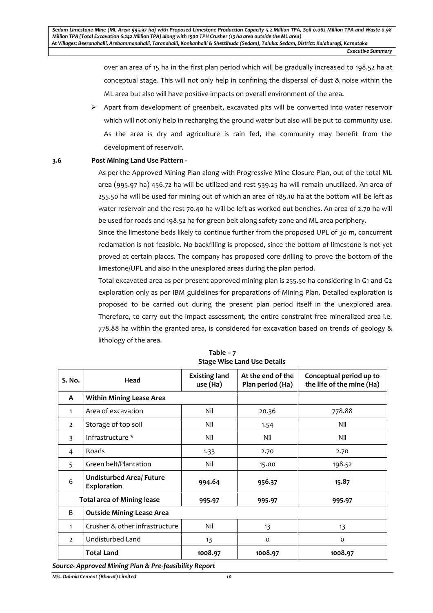over an area of 15 ha in the first plan period which will be gradually increased to 198.52 ha at conceptual stage. This will not only help in confining the dispersal of dust & noise within the ML area but also will have positive impacts on overall environment of the area.

 $\triangleright$  Apart from development of greenbelt, excavated pits will be converted into water reservoir which will not only help in recharging the ground water but also will be put to community use. As the area is dry and agriculture is rain fed, the community may benefit from the development of reservoir.

#### **3.6 Post Mining Land Use Pattern -**

As per the Approved Mining Plan along with Progressive Mine Closure Plan, out of the total ML area (995.97 ha) 456.72 ha will be utilized and rest 539.25 ha will remain unutilized. An area of 255.50 ha will be used for mining out of which an area of 185.10 ha at the bottom will be left as water reservoir and the rest 70.40 ha will be left as worked out benches. An area of 2.70 ha will be used for roads and 198.52 ha for green belt along safety zone and ML area periphery.

Since the limestone beds likely to continue further from the proposed UPL of 30 m, concurrent reclamation is not feasible. No backfilling is proposed, since the bottom of limestone is not yet proved at certain places. The company has proposed core drilling to prove the bottom of the limestone/UPL and also in the unexplored areas during the plan period.

Total excavated area as per present approved mining plan is 255.50 ha considering in G1 and G2 exploration only as per IBM guidelines for preparations of Mining Plan. Detailed exploration is proposed to be carried out during the present plan period itself in the unexplored area. Therefore, to carry out the impact assessment, the entire constraint free mineralized area i.e. 778.88 ha within the granted area, is considered for excavation based on trends of geology & lithology of the area.

| S. No.                            | Head                                           | <b>Existing land</b><br>use (Ha) | At the end of the<br>Plan period (Ha) | Conceptual period up to<br>the life of the mine (Ha) |
|-----------------------------------|------------------------------------------------|----------------------------------|---------------------------------------|------------------------------------------------------|
| $\mathbf{A}$                      | <b>Within Mining Lease Area</b>                |                                  |                                       |                                                      |
| 1                                 | Area of excavation                             | Nil                              | 20.36                                 | 778.88                                               |
| $\overline{2}$                    | Storage of top soil                            | Nil                              | 1.54                                  | Nil                                                  |
| 3                                 | Infrastructure *                               | Nil                              | Nil                                   | Nil                                                  |
| 4                                 | Roads                                          | 1.33                             | 2.70                                  | 2.70                                                 |
| 5                                 | Green belt/Plantation                          | Nil                              | 15.00                                 | 198.52                                               |
| 6                                 | <b>Undisturbed Area/ Future</b><br>Exploration | 994.64                           | 956.37                                | 15.87                                                |
| <b>Total area of Mining lease</b> |                                                | 995.97                           | 995.97                                | 995.97                                               |
| B                                 | <b>Outside Mining Lease Area</b>               |                                  |                                       |                                                      |
| 1                                 | Crusher & other infrastructure                 | Nil                              | 13                                    | 13                                                   |
| $\overline{2}$                    | Undisturbed Land                               | 13                               | $\mathsf{o}$                          | o                                                    |
|                                   | <b>Total Land</b>                              | 1008.97                          | 1008.97                               | 1008.97                                              |

**Table – 7 Stage Wise Land Use Details**

*Source- Approved Mining Plan & Pre-feasibility Report*

*M/s. Dalmia Cement (Bharat) Limited 10*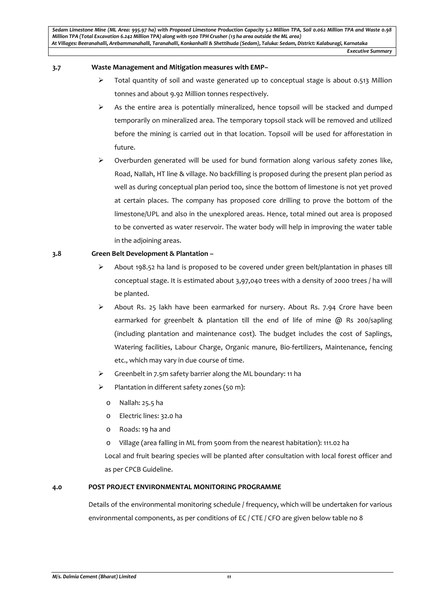## **3.7 Waste Management and Mitigation measures with EMP–**

- $\triangleright$  Total quantity of soil and waste generated up to conceptual stage is about 0.513 Million tonnes and about 9.92 Million tonnes respectively.
- $\triangleright$  As the entire area is potentially mineralized, hence topsoil will be stacked and dumped temporarily on mineralized area. The temporary topsoil stack will be removed and utilized before the mining is carried out in that location. Topsoil will be used for afforestation in future.
- $\triangleright$  Overburden generated will be used for bund formation along various safety zones like, Road, Nallah, HT line & village. No backfilling is proposed during the present plan period as well as during conceptual plan period too, since the bottom of limestone is not yet proved at certain places. The company has proposed core drilling to prove the bottom of the limestone/UPL and also in the unexplored areas. Hence, total mined out area is proposed to be converted as water reservoir. The water body will help in improving the water table in the adjoining areas.

# **3.8 Green Belt Development & Plantation –**

- $\triangleright$  About 198.52 ha land is proposed to be covered under green belt/plantation in phases till conceptual stage. It is estimated about 3,97,040 trees with a density of 2000 trees / ha will be planted.
- $\triangleright$  About Rs. 25 lakh have been earmarked for nursery. About Rs. 7.94 Crore have been earmarked for greenbelt & plantation till the end of life of mine @ Rs 200/sapling (including plantation and maintenance cost). The budget includes the cost of Saplings, Watering facilities, Labour Charge, Organic manure, Bio-fertilizers, Maintenance, fencing etc., which may vary in due course of time.
- $\triangleright$  Greenbelt in 7.5m safety barrier along the ML boundary: 11 ha
- $\triangleright$  Plantation in different safety zones (50 m):
	- o Nallah: 25.5 ha
	- o Electric lines: 32.0 ha
	- o Roads: 19 ha and
	- o Village (area falling in ML from 500m from the nearest habitation): 111.02 ha

Local and fruit bearing species will be planted after consultation with local forest officer and as per CPCB Guideline.

# **4.0 POST PROJECT ENVIRONMENTAL MONITORING PROGRAMME**

Details of the environmental monitoring schedule / frequency, which will be undertaken for various environmental components, as per conditions of EC / CTE / CFO are given below table no 8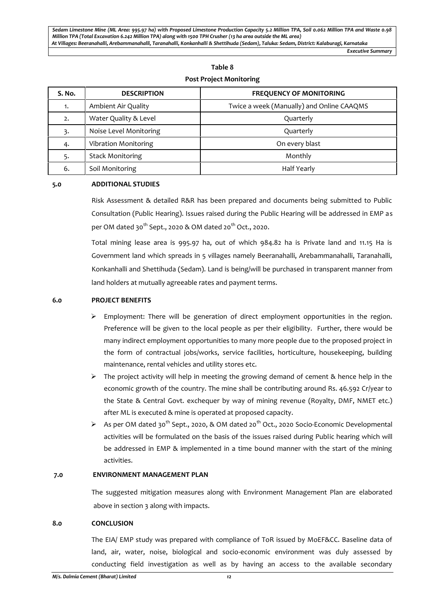## **Table 8**

# **Post Project Monitoring**

| S. No. | <b>DESCRIPTION</b>          | <b>FREQUENCY OF MONITORING</b>            |
|--------|-----------------------------|-------------------------------------------|
| 1.     | Ambient Air Quality         | Twice a week (Manually) and Online CAAQMS |
| 2.     | Water Quality & Level       | Quarterly                                 |
| 3.     | Noise Level Monitoring      | Quarterly                                 |
| 4.     | <b>Vibration Monitoring</b> | On every blast                            |
| 5.     | <b>Stack Monitoring</b>     | Monthly                                   |
| 6.     | Soil Monitoring             | <b>Half Yearly</b>                        |

## **5.0 ADDITIONAL STUDIES**

Risk Assessment & detailed R&R has been prepared and documents being submitted to Public Consultation (Public Hearing). Issues raised during the Public Hearing will be addressed in EMP as per OM dated 30<sup>th</sup> Sept., 2020 & OM dated 20<sup>th</sup> Oct., 2020.

Total mining lease area is 995.97 ha, out of which 984.82 ha is Private land and 11.15 Ha is Government land which spreads in 5 villages namely Beeranahalli, Arebammanahalli, Taranahalli, Konkanhalli and Shettihuda (Sedam). Land is being/will be purchased in transparent manner from land holders at mutually agreeable rates and payment terms.

## **6.0 PROJECT BENEFITS**

- $\triangleright$  Employment: There will be generation of direct employment opportunities in the region. Preference will be given to the local people as per their eligibility. Further, there would be many indirect employment opportunities to many more people due to the proposed project in the form of contractual jobs/works, service facilities, horticulture, housekeeping, building maintenance, rental vehicles and utility stores etc.
- $\triangleright$  The project activity will help in meeting the growing demand of cement & hence help in the economic growth of the country. The mine shall be contributing around Rs. 46.592 Cr/year to the State & Central Govt. exchequer by way of mining revenue (Royalty, DMF, NMET etc.) after ML is executed & mine is operated at proposed capacity.
- As per OM dated 30<sup>th</sup> Sept., 2020, & OM dated 20<sup>th</sup> Oct., 2020 Socio-Economic Developmental activities will be formulated on the basis of the issues raised during Public hearing which will be addressed in EMP & implemented in a time bound manner with the start of the mining activities.

# **7.0 ENVIRONMENT MANAGEMENT PLAN**

The suggested mitigation measures along with Environment Management Plan are elaborated above in section 3 along with impacts.

#### **8.0 CONCLUSION**

The EIA/ EMP study was prepared with compliance of ToR issued by MoEF&CC. Baseline data of land, air, water, noise, biological and socio-economic environment was duly assessed by conducting field investigation as well as by having an access to the available secondary